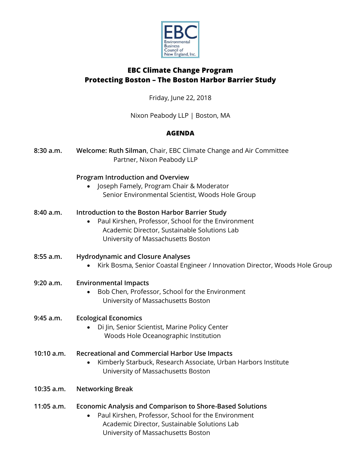

# **EBC Climate Change Program Protecting Boston – The Boston Harbor Barrier Study**

Friday, June 22, 2018

Nixon Peabody LLP | Boston, MA

# **AGENDA**

| 8:30 a.m.  | Welcome: Ruth Silman, Chair, EBC Climate Change and Air Committee<br>Partner, Nixon Peabody LLP                                                                                                               |
|------------|---------------------------------------------------------------------------------------------------------------------------------------------------------------------------------------------------------------|
|            | <b>Program Introduction and Overview</b><br>Joseph Famely, Program Chair & Moderator<br>Senior Environmental Scientist, Woods Hole Group                                                                      |
| 8:40 a.m.  | Introduction to the Boston Harbor Barrier Study<br>Paul Kirshen, Professor, School for the Environment<br>Academic Director, Sustainable Solutions Lab<br>University of Massachusetts Boston                  |
| 8:55 a.m.  | <b>Hydrodynamic and Closure Analyses</b><br>Kirk Bosma, Senior Coastal Engineer / Innovation Director, Woods Hole Group                                                                                       |
| 9:20 a.m.  | <b>Environmental Impacts</b><br>Bob Chen, Professor, School for the Environment<br>University of Massachusetts Boston                                                                                         |
| 9:45 a.m.  | <b>Ecological Economics</b><br>Di Jin, Senior Scientist, Marine Policy Center<br>Woods Hole Oceanographic Institution                                                                                         |
| 10:10 a.m. | <b>Recreational and Commercial Harbor Use Impacts</b><br>Kimberly Starbuck, Research Associate, Urban Harbors Institute<br>University of Massachusetts Boston                                                 |
| 10:35 a.m. | <b>Networking Break</b>                                                                                                                                                                                       |
| 11:05 a.m. | <b>Economic Analysis and Comparison to Shore-Based Solutions</b><br>Paul Kirshen, Professor, School for the Environment<br>Academic Director, Sustainable Solutions Lab<br>University of Massachusetts Boston |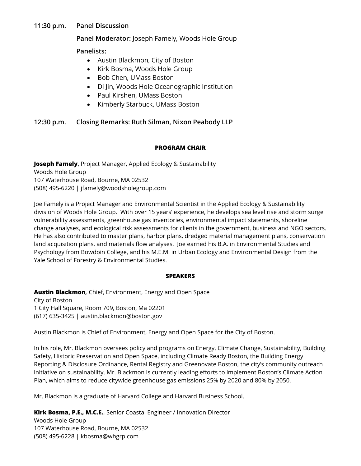### **11:30 p.m. Panel Discussion**

### **Panel Moderator:** Joseph Famely, Woods Hole Group

**Panelists:**

- Austin Blackmon, City of Boston
- Kirk Bosma, Woods Hole Group
- Bob Chen, UMass Boston
- Di Jin, Woods Hole Oceanographic Institution
- Paul Kirshen, UMass Boston
- Kimberly Starbuck, UMass Boston

# **12:30 p.m. Closing Remarks: Ruth Silman, Nixon Peabody LLP**

#### **PROGRAM CHAIR**

**Joseph Famely**, Project Manager, Applied Ecology & Sustainability Woods Hole Group 107 Waterhouse Road, Bourne, MA 02532 (508) 495-6220 | jfamely@woodsholegroup.com

Joe Famely is a Project Manager and Environmental Scientist in the Applied Ecology & Sustainability division of Woods Hole Group. With over 15 years' experience, he develops sea level rise and storm surge vulnerability assessments, greenhouse gas inventories, environmental impact statements, shoreline change analyses, and ecological risk assessments for clients in the government, business and NGO sectors. He has also contributed to master plans, harbor plans, dredged material management plans, conservation land acquisition plans, and materials flow analyses. Joe earned his B.A. in Environmental Studies and Psychology from Bowdoin College, and his M.E.M. in Urban Ecology and Environmental Design from the Yale School of Forestry & Environmental Studies.

#### **SPEAKERS**

**Austin Blackmon***,* Chief, Environment, Energy and Open Space City of Boston 1 City Hall Square, Room 709, Boston, Ma 02201 (617) 635-3425 | austin.blackmon@boston.gov

Austin Blackmon is Chief of Environment, Energy and Open Space for the City of Boston.

In his role, Mr. Blackmon oversees policy and programs on Energy, Climate Change, Sustainability, Building Safety, Historic Preservation and Open Space, including Climate Ready Boston, the Building Energy Reporting & Disclosure Ordinance, Rental Registry and Greenovate Boston, the city's community outreach initiative on sustainability. Mr. Blackmon is currently leading efforts to implement Boston's Climate Action Plan, which aims to reduce citywide greenhouse gas emissions 25% by 2020 and 80% by 2050.

Mr. Blackmon is a graduate of Harvard College and Harvard Business School.

**Kirk Bosma, P.E., M.C.E.**, Senior Coastal Engineer / Innovation Director

Woods Hole Group 107 Waterhouse Road, Bourne, MA 02532 (508) 495-6228 | kbosma@whgrp.com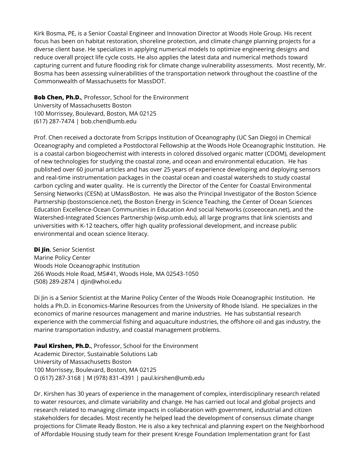Kirk Bosma, PE, is a Senior Coastal Engineer and Innovation Director at Woods Hole Group. His recent focus has been on habitat restoration, shoreline protection, and climate change planning projects for a diverse client base. He specializes in applying numerical models to optimize engineering designs and reduce overall project life cycle costs. He also applies the latest data and numerical methods toward capturing current and future flooding risk for climate change vulnerability assessments. Most recently, Mr. Bosma has been assessing vulnerabilities of the transportation network throughout the coastline of the Commonwealth of Massachusetts for MassDOT.

**Bob Chen, Ph.D.**, Professor, School for the Environment University of Massachusetts Boston 100 Morrissey, Boulevard, Boston, MA 02125 (617) 287-7474 | bob.chen@umb.edu

Prof. Chen received a doctorate from Scripps Institution of Oceanography (UC San Diego) in Chemical Oceanography and completed a Postdoctoral Fellowship at the Woods Hole Oceanographic Institution. He is a coastal carbon biogeochemist with interests in colored dissolved organic matter (CDOM), development of new technologies for studying the coastal zone, and ocean and environmental education. He has published over 60 journal articles and has over 25 years of experience developing and deploying sensors and real-time instrumentation packages in the coastal ocean and coastal watersheds to study coastal carbon cycling and water quality. He is currently the Director of the Center for Coastal Environmental Sensing Networks (CESN) at UMassBoston. He was also the Principal Investigator of the Boston Science Partnership (bostonscience.net), the Boston Energy in Science Teaching, the Center of Ocean Sciences Education Excellence-Ocean Communities in Education And social Networks (coseeocean.net), and the Watershed-Integrated Sciences Partnership (wisp.umb.edu), all large programs that link scientists and universities with K-12 teachers, offer high quality professional development, and increase public environmental and ocean science literacy.

**Di Jin**, Senior Scientist Marine Policy Center Woods Hole Oceanographic Institution 266 Woods Hole Road, MS#41, Woods Hole, MA 02543-1050 (508) 289-2874 | djin@whoi.edu

Di Jin is a Senior Scientist at the Marine Policy Center of the Woods Hole Oceanographic Institution. He holds a Ph.D. in Economics-Marine Resources from the University of Rhode Island. He specializes in the economics of marine resources management and marine industries. He has substantial research experience with the commercial fishing and aquaculture industries, the offshore oil and gas industry, the marine transportation industry, and coastal management problems.

**Paul Kirshen, Ph.D.**, Professor, School for the Environment Academic Director, Sustainable Solutions Lab University of Massachusetts Boston 100 Morrissey, Boulevard, Boston, MA 02125 O (617) 287-3168 | M (978) 831-4391 | paul.kirshen@umb.edu

Dr. Kirshen has 30 years of experience in the management of complex, interdisciplinary research related to water resources, and climate variability and change. He has carried out local and global projects and research related to managing climate impacts in collaboration with government, industrial and citizen stakeholders for decades. Most recently he helped lead the development of consensus climate change projections for Climate Ready Boston. He is also a key technical and planning expert on the Neighborhood of Affordable Housing study team for their present Kresge Foundation Implementation grant for East